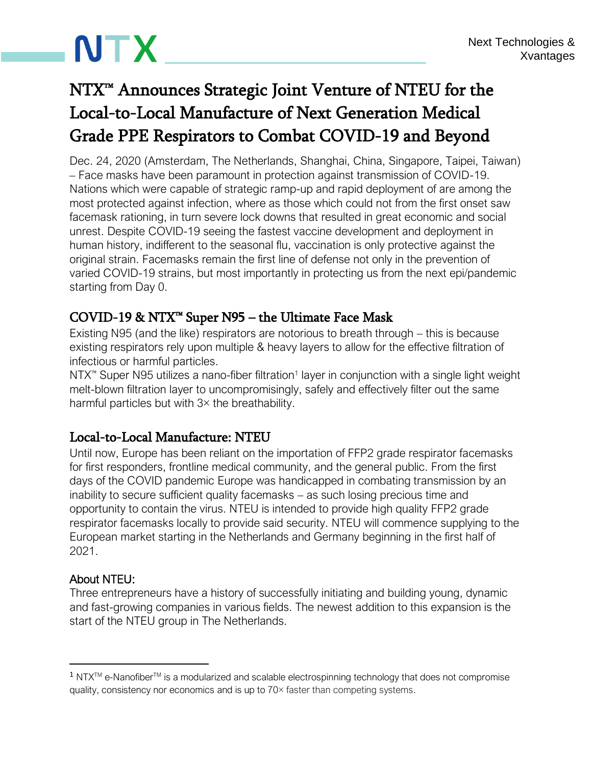# **NTX**

# NTX<sup>™</sup> Announces Strategic Joint Venture of NTEU for the Local-to-Local Manufacture of Next Generation Medical Grade PPE Respirators to Combat COVID-19 and Beyond

Dec. 24, 2020 (Amsterdam, The Netherlands, Shanghai, China, Singapore, Taipei, Taiwan) – Face masks have been paramount in protection against transmission of COVID-19. Nations which were capable of strategic ramp-up and rapid deployment of are among the most protected against infection, where as those which could not from the first onset saw facemask rationing, in turn severe lock downs that resulted in great economic and social unrest. Despite COVID-19 seeing the fastest vaccine development and deployment in human history, indifferent to the seasonal flu, vaccination is only protective against the original strain. Facemasks remain the first line of defense not only in the prevention of varied COVID-19 strains, but most importantly in protecting us from the next epi/pandemic starting from Day 0.

## COVID-19 & NTX™ Super N95 – the Ultimate Face Mask

Existing N95 (and the like) respirators are notorious to breath through – this is because existing respirators rely upon multiple & heavy layers to allow for the effective filtration of infectious or harmful particles.

NTX<sup>™</sup> Super N95 utilizes a nano-fiber filtration<sup>1</sup> layer in conjunction with a single light weight melt-blown filtration layer to uncompromisingly, safely and effectively filter out the same harmful particles but with  $3\times$  the breathability.

## Local-to-Local Manufacture: NTEU

Until now, Europe has been reliant on the importation of FFP2 grade respirator facemasks for first responders, frontline medical community, and the general public. From the first days of the COVID pandemic Europe was handicapped in combating transmission by an inability to secure sufficient quality facemasks – as such losing precious time and opportunity to contain the virus. NTEU is intended to provide high quality FFP2 grade respirator facemasks locally to provide said security. NTEU will commence supplying to the European market starting in the Netherlands and Germany beginning in the first half of 2021.

#### About NTEU:

Three entrepreneurs have a history of successfully initiating and building young, dynamic and fast-growing companies in various fields. The newest addition to this expansion is the start of the NTEU group in The Netherlands.

 $1 NTX^{TM}$  e-Nanofiber<sup>TM</sup> is a modularized and scalable electrospinning technology that does not compromise quality, consistency nor economics and is up to 70× faster than competing systems.